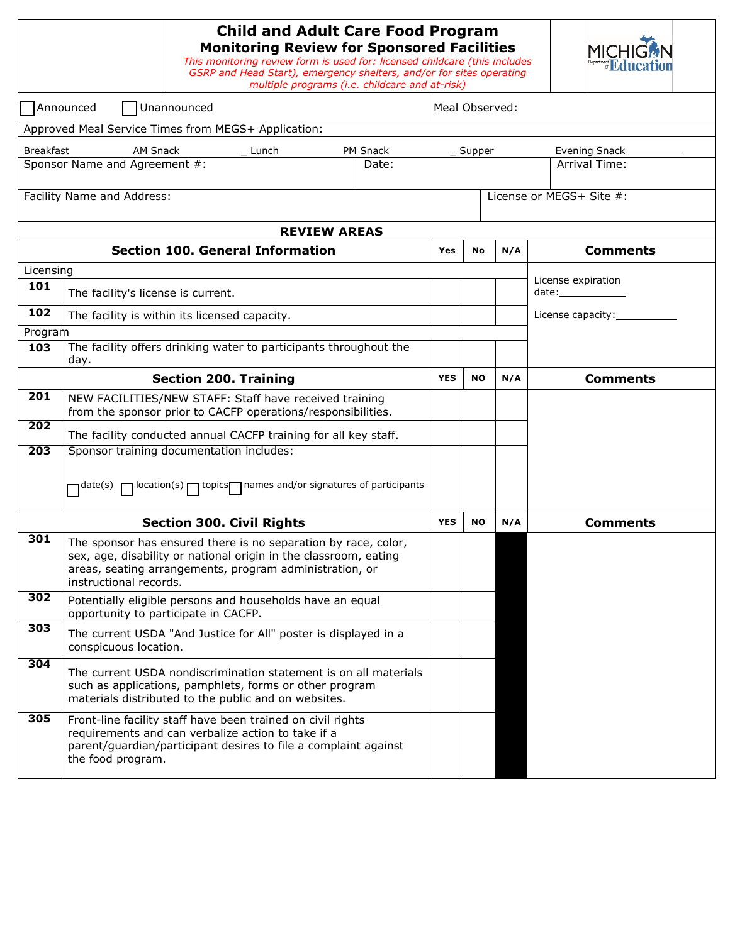|                     |                                    | <b>Child and Adult Care Food Program</b><br><b>Monitoring Review for Sponsored Facilities</b><br>This monitoring review form is used for: licensed childcare (this includes<br>GSRP and Head Start), emergency shelters, and/or for sites operating<br>multiple programs (i.e. childcare and at-risk) |            | ment <b>Edu</b> |               |                 |                                         |  |  |  |  |  |
|---------------------|------------------------------------|-------------------------------------------------------------------------------------------------------------------------------------------------------------------------------------------------------------------------------------------------------------------------------------------------------|------------|-----------------|---------------|-----------------|-----------------------------------------|--|--|--|--|--|
|                     | Announced                          | Unannounced                                                                                                                                                                                                                                                                                           |            | Meal Observed:  |               |                 |                                         |  |  |  |  |  |
|                     |                                    | Approved Meal Service Times from MEGS+ Application:                                                                                                                                                                                                                                                   |            |                 |               |                 |                                         |  |  |  |  |  |
| Breakfast           | <b>AM Snack</b>                    | Lunch                                                                                                                                                                                                                                                                                                 | PM Snack   | Supper          | Evening Snack |                 |                                         |  |  |  |  |  |
|                     | Sponsor Name and Agreement #:      |                                                                                                                                                                                                                                                                                                       | Date:      | Arrival Time:   |               |                 |                                         |  |  |  |  |  |
|                     | Facility Name and Address:         |                                                                                                                                                                                                                                                                                                       |            |                 |               |                 | License or MEGS+ Site #:                |  |  |  |  |  |
| <b>REVIEW AREAS</b> |                                    |                                                                                                                                                                                                                                                                                                       |            |                 |               |                 |                                         |  |  |  |  |  |
|                     |                                    | <b>Section 100. General Information</b>                                                                                                                                                                                                                                                               |            | Yes             | <b>No</b>     | N/A             | <b>Comments</b>                         |  |  |  |  |  |
| Licensing           |                                    |                                                                                                                                                                                                                                                                                                       |            |                 |               |                 |                                         |  |  |  |  |  |
| 101                 | The facility's license is current. |                                                                                                                                                                                                                                                                                                       |            |                 |               |                 | License expiration<br>date:____________ |  |  |  |  |  |
| 102                 |                                    | The facility is within its licensed capacity.                                                                                                                                                                                                                                                         |            |                 |               |                 | License capacity:                       |  |  |  |  |  |
| Program             |                                    |                                                                                                                                                                                                                                                                                                       |            |                 |               |                 |                                         |  |  |  |  |  |
| 103                 | day.                               | The facility offers drinking water to participants throughout the                                                                                                                                                                                                                                     |            |                 |               |                 |                                         |  |  |  |  |  |
|                     |                                    | <b>Section 200. Training</b>                                                                                                                                                                                                                                                                          | <b>YES</b> | <b>NO</b>       | N/A           | <b>Comments</b> |                                         |  |  |  |  |  |
| 201                 |                                    | NEW FACILITIES/NEW STAFF: Staff have received training<br>from the sponsor prior to CACFP operations/responsibilities.                                                                                                                                                                                |            |                 |               |                 |                                         |  |  |  |  |  |
| 202                 |                                    | The facility conducted annual CACFP training for all key staff.                                                                                                                                                                                                                                       |            |                 |               |                 |                                         |  |  |  |  |  |
| $\overline{203}$    |                                    | Sponsor training documentation includes:                                                                                                                                                                                                                                                              |            |                 |               |                 |                                         |  |  |  |  |  |
|                     |                                    | $\Box$ date(s) $\Box$ location(s) $\Box$ topics $\Box$ names and/or signatures of participants                                                                                                                                                                                                        |            |                 |               |                 |                                         |  |  |  |  |  |
|                     |                                    | <b>Section 300. Civil Rights</b>                                                                                                                                                                                                                                                                      |            | <b>YES</b>      | <b>NO</b>     | N/A             | <b>Comments</b>                         |  |  |  |  |  |
| 301                 | instructional records.             | The sponsor has ensured there is no separation by race, color,<br>sex, age, disability or national origin in the classroom, eating<br>areas, seating arrangements, program administration, or                                                                                                         |            |                 |               |                 |                                         |  |  |  |  |  |
| 302                 |                                    | Potentially eligible persons and households have an equal<br>opportunity to participate in CACFP.                                                                                                                                                                                                     |            |                 |               |                 |                                         |  |  |  |  |  |
| 303                 | conspicuous location.              | The current USDA "And Justice for All" poster is displayed in a                                                                                                                                                                                                                                       |            |                 |               |                 |                                         |  |  |  |  |  |
| 304                 |                                    | The current USDA nondiscrimination statement is on all materials<br>such as applications, pamphlets, forms or other program<br>materials distributed to the public and on websites.                                                                                                                   |            |                 |               |                 |                                         |  |  |  |  |  |
| 305                 | the food program.                  | Front-line facility staff have been trained on civil rights<br>requirements and can verbalize action to take if a<br>parent/guardian/participant desires to file a complaint against                                                                                                                  |            |                 |               |                 |                                         |  |  |  |  |  |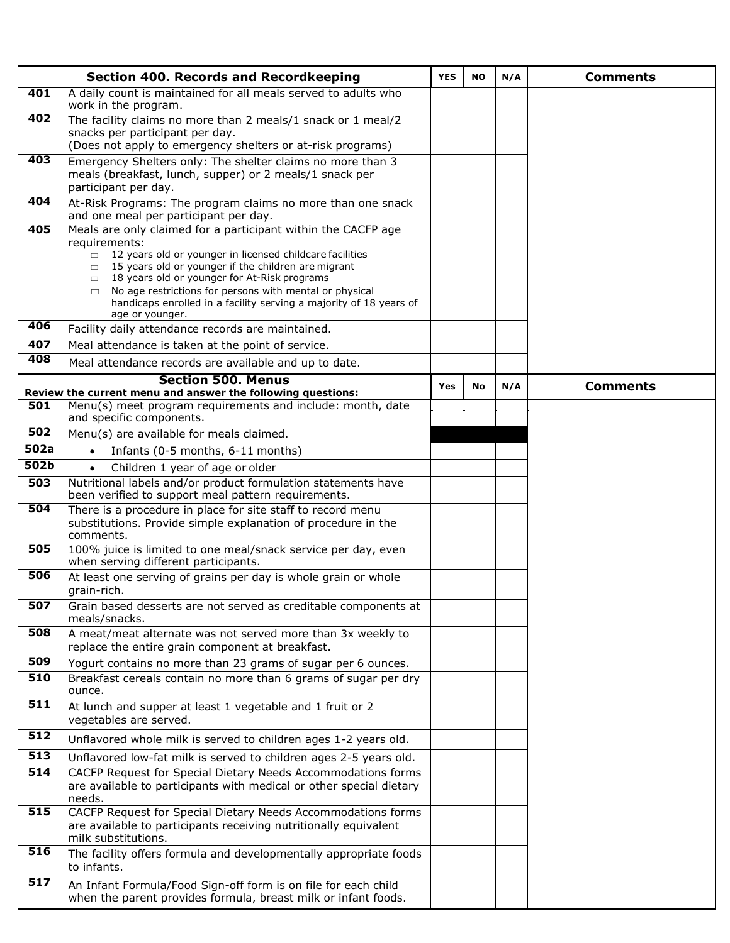|                          | <b>Section 400. Records and Recordkeeping</b>                                                                                                           | <b>YES</b> | <b>NO</b> | N/A | <b>Comments</b> |
|--------------------------|---------------------------------------------------------------------------------------------------------------------------------------------------------|------------|-----------|-----|-----------------|
| 401                      | A daily count is maintained for all meals served to adults who<br>work in the program.                                                                  |            |           |     |                 |
| 402                      | The facility claims no more than 2 meals/1 snack or 1 meal/2                                                                                            |            |           |     |                 |
|                          | snacks per participant per day.<br>(Does not apply to emergency shelters or at-risk programs)                                                           |            |           |     |                 |
| 403                      | Emergency Shelters only: The shelter claims no more than 3                                                                                              |            |           |     |                 |
|                          | meals (breakfast, lunch, supper) or 2 meals/1 snack per                                                                                                 |            |           |     |                 |
| 404                      | participant per day.<br>At-Risk Programs: The program claims no more than one snack                                                                     |            |           |     |                 |
|                          | and one meal per participant per day.                                                                                                                   |            |           |     |                 |
| 405                      | Meals are only claimed for a participant within the CACFP age                                                                                           |            |           |     |                 |
|                          | requirements:<br>$\Box$ 12 years old or younger in licensed childcare facilities                                                                        |            |           |     |                 |
|                          | 15 years old or younger if the children are migrant<br>$\Box$                                                                                           |            |           |     |                 |
|                          | 18 years old or younger for At-Risk programs<br>$\Box$<br>No age restrictions for persons with mental or physical<br>$\Box$                             |            |           |     |                 |
|                          | handicaps enrolled in a facility serving a majority of 18 years of<br>age or younger.                                                                   |            |           |     |                 |
| 406                      | Facility daily attendance records are maintained.                                                                                                       |            |           |     |                 |
| 407                      | Meal attendance is taken at the point of service.                                                                                                       |            |           |     |                 |
| 408                      | Meal attendance records are available and up to date.                                                                                                   |            |           |     |                 |
|                          | <b>Section 500. Menus</b><br>Review the current menu and answer the following questions:                                                                | Yes        | No        | N/A | <b>Comments</b> |
| 501                      | Menu(s) meet program requirements and include: month, date                                                                                              |            |           |     |                 |
|                          | and specific components.                                                                                                                                |            |           |     |                 |
| 502                      | Menu(s) are available for meals claimed.                                                                                                                |            |           |     |                 |
| 502a<br>502 <sub>b</sub> | Infants (0-5 months, 6-11 months)<br>$\bullet$                                                                                                          |            |           |     |                 |
| 503                      | Children 1 year of age or older<br>$\bullet$                                                                                                            |            |           |     |                 |
|                          | Nutritional labels and/or product formulation statements have<br>been verified to support meal pattern requirements.                                    |            |           |     |                 |
| 504                      | There is a procedure in place for site staff to record menu                                                                                             |            |           |     |                 |
|                          | substitutions. Provide simple explanation of procedure in the<br>comments.                                                                              |            |           |     |                 |
| 505                      | 100% juice is limited to one meal/snack service per day, even                                                                                           |            |           |     |                 |
|                          | when serving different participants.                                                                                                                    |            |           |     |                 |
| 506                      | At least one serving of grains per day is whole grain or whole<br>grain-rich.                                                                           |            |           |     |                 |
| 507                      | Grain based desserts are not served as creditable components at<br>meals/snacks.                                                                        |            |           |     |                 |
| 508                      | A meat/meat alternate was not served more than 3x weekly to                                                                                             |            |           |     |                 |
| 509                      | replace the entire grain component at breakfast.<br>Yogurt contains no more than 23 grams of sugar per 6 ounces.                                        |            |           |     |                 |
| 510                      | Breakfast cereals contain no more than 6 grams of sugar per dry                                                                                         |            |           |     |                 |
|                          | ounce.                                                                                                                                                  |            |           |     |                 |
| $\overline{511}$         | At lunch and supper at least 1 vegetable and 1 fruit or 2<br>vegetables are served.                                                                     |            |           |     |                 |
| 512                      | Unflavored whole milk is served to children ages 1-2 years old.                                                                                         |            |           |     |                 |
| $\overline{513}$         | Unflavored low-fat milk is served to children ages 2-5 years old.                                                                                       |            |           |     |                 |
| 514                      | CACFP Request for Special Dietary Needs Accommodations forms                                                                                            |            |           |     |                 |
|                          | are available to participants with medical or other special dietary<br>needs.                                                                           |            |           |     |                 |
| 515                      | CACFP Request for Special Dietary Needs Accommodations forms<br>are available to participants receiving nutritionally equivalent<br>milk substitutions. |            |           |     |                 |
| 516                      | The facility offers formula and developmentally appropriate foods<br>to infants.                                                                        |            |           |     |                 |
| 517                      | An Infant Formula/Food Sign-off form is on file for each child<br>when the parent provides formula, breast milk or infant foods.                        |            |           |     |                 |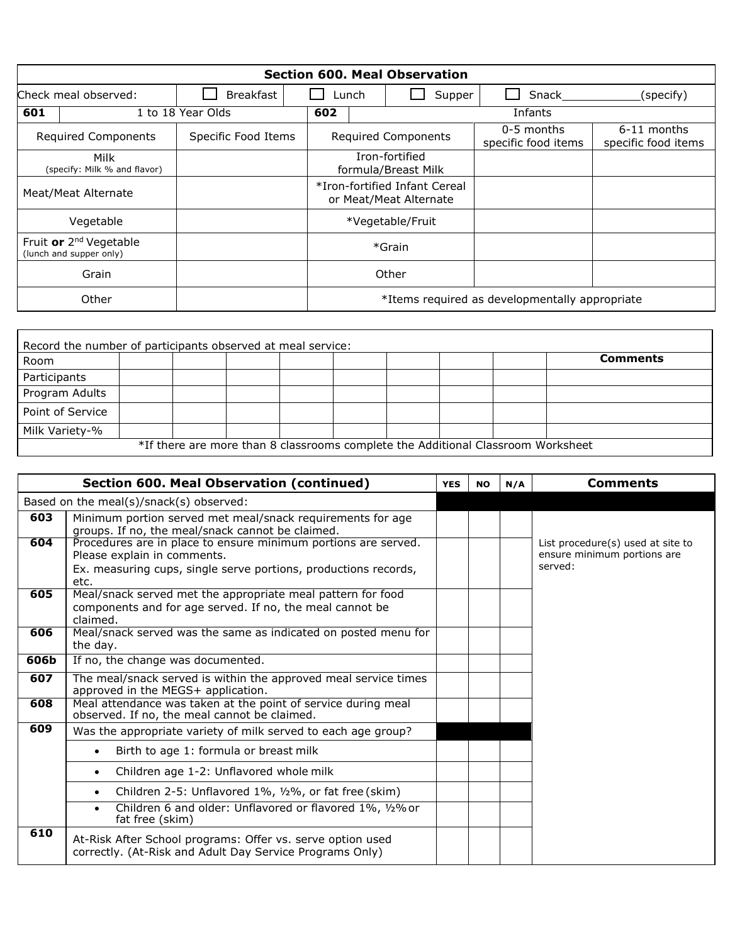|                                                               | <b>Section 600. Meal Observation</b> |                           |         |                                                |                                                         |        |                                   |                                    |  |  |  |  |  |  |
|---------------------------------------------------------------|--------------------------------------|---------------------------|---------|------------------------------------------------|---------------------------------------------------------|--------|-----------------------------------|------------------------------------|--|--|--|--|--|--|
| Check meal observed:                                          |                                      | <b>Breakfast</b><br>Lunch |         |                                                |                                                         | Supper | Snack                             | (specify)                          |  |  |  |  |  |  |
| 601                                                           | 1 to 18 Year Olds                    | 602                       | Infants |                                                |                                                         |        |                                   |                                    |  |  |  |  |  |  |
| <b>Required Components</b>                                    |                                      | Specific Food Items       |         |                                                | <b>Required Components</b>                              |        | 0-5 months<br>specific food items | 6-11 months<br>specific food items |  |  |  |  |  |  |
|                                                               | Milk<br>(specify: Milk % and flavor) |                           |         |                                                | Iron-fortified<br>formula/Breast Milk                   |        |                                   |                                    |  |  |  |  |  |  |
| Meat/Meat Alternate                                           |                                      |                           |         |                                                | *Iron-fortified Infant Cereal<br>or Meat/Meat Alternate |        |                                   |                                    |  |  |  |  |  |  |
|                                                               | Vegetable                            |                           |         |                                                | *Vegetable/Fruit                                        |        |                                   |                                    |  |  |  |  |  |  |
| Fruit or 2 <sup>nd</sup> Vegetable<br>(lunch and supper only) |                                      |                           |         | *Grain                                         |                                                         |        |                                   |                                    |  |  |  |  |  |  |
|                                                               | Grain                                |                           |         |                                                | Other                                                   |        |                                   |                                    |  |  |  |  |  |  |
|                                                               | Other                                |                           |         | *Items required as developmentally appropriate |                                                         |        |                                   |                                    |  |  |  |  |  |  |

|                                                                                  | Record the number of participants observed at meal service: |  |  |  |  |  |  |  |                 |  |  |  |  |
|----------------------------------------------------------------------------------|-------------------------------------------------------------|--|--|--|--|--|--|--|-----------------|--|--|--|--|
| Room                                                                             |                                                             |  |  |  |  |  |  |  | <b>Comments</b> |  |  |  |  |
| Participants                                                                     |                                                             |  |  |  |  |  |  |  |                 |  |  |  |  |
| Program Adults                                                                   |                                                             |  |  |  |  |  |  |  |                 |  |  |  |  |
| Point of Service                                                                 |                                                             |  |  |  |  |  |  |  |                 |  |  |  |  |
| Milk Variety-%                                                                   |                                                             |  |  |  |  |  |  |  |                 |  |  |  |  |
| *If there are more than 8 classrooms complete the Additional Classroom Worksheet |                                                             |  |  |  |  |  |  |  |                 |  |  |  |  |

|      | <b>Section 600. Meal Observation (continued)</b>                                                                                                                         | <b>YES</b> | <b>NO</b> | N/A | <b>Comments</b>                                                             |
|------|--------------------------------------------------------------------------------------------------------------------------------------------------------------------------|------------|-----------|-----|-----------------------------------------------------------------------------|
|      | Based on the meal(s)/snack(s) observed:                                                                                                                                  |            |           |     |                                                                             |
| 603  | Minimum portion served met meal/snack requirements for age<br>groups. If no, the meal/snack cannot be claimed.                                                           |            |           |     |                                                                             |
| 604  | Procedures are in place to ensure minimum portions are served.<br>Please explain in comments.<br>Ex. measuring cups, single serve portions, productions records,<br>etc. |            |           |     | List procedure(s) used at site to<br>ensure minimum portions are<br>served: |
| 605  | Meal/snack served met the appropriate meal pattern for food<br>components and for age served. If no, the meal cannot be<br>claimed.                                      |            |           |     |                                                                             |
| 606  | Meal/snack served was the same as indicated on posted menu for<br>the day.                                                                                               |            |           |     |                                                                             |
| 606b | If no, the change was documented.                                                                                                                                        |            |           |     |                                                                             |
| 607  | The meal/snack served is within the approved meal service times<br>approved in the MEGS+ application.                                                                    |            |           |     |                                                                             |
| 608  | Meal attendance was taken at the point of service during meal<br>observed. If no, the meal cannot be claimed.                                                            |            |           |     |                                                                             |
| 609  | Was the appropriate variety of milk served to each age group?                                                                                                            |            |           |     |                                                                             |
|      | Birth to age 1: formula or breast milk<br>$\bullet$                                                                                                                      |            |           |     |                                                                             |
|      | Children age 1-2: Unflavored whole milk<br>$\bullet$                                                                                                                     |            |           |     |                                                                             |
|      | Children 2-5: Unflavored 1%, 1/2%, or fat free (skim)<br>$\bullet$                                                                                                       |            |           |     |                                                                             |
|      | Children 6 and older: Unflavored or flavored 1%, 1/2% or<br>$\bullet$<br>fat free (skim)                                                                                 |            |           |     |                                                                             |
| 610  | At-Risk After School programs: Offer vs. serve option used<br>correctly. (At-Risk and Adult Day Service Programs Only)                                                   |            |           |     |                                                                             |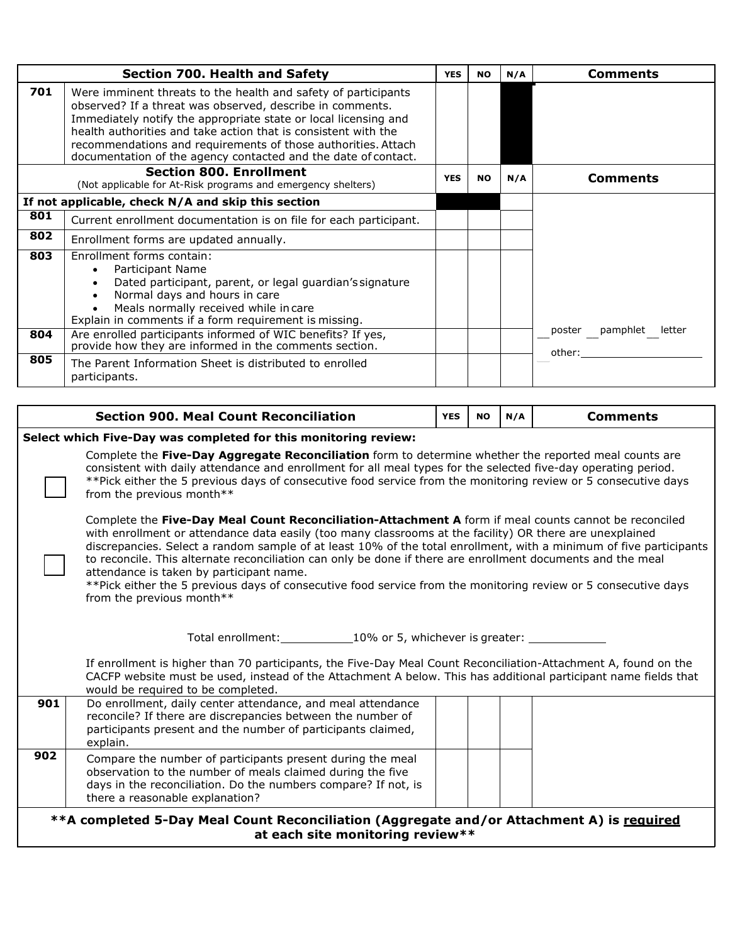|            | <b>Section 700. Health and Safety</b>                                                                                                                                                                                                                                                                                                                                                               | <b>YES</b> | <b>NO</b> | N/A | <b>Comments</b>              |
|------------|-----------------------------------------------------------------------------------------------------------------------------------------------------------------------------------------------------------------------------------------------------------------------------------------------------------------------------------------------------------------------------------------------------|------------|-----------|-----|------------------------------|
| 701        | Were imminent threats to the health and safety of participants<br>observed? If a threat was observed, describe in comments.<br>Immediately notify the appropriate state or local licensing and<br>health authorities and take action that is consistent with the<br>recommendations and requirements of those authorities. Attach<br>documentation of the agency contacted and the date of contact. |            |           |     |                              |
|            | <b>Section 800. Enrollment</b><br>(Not applicable for At-Risk programs and emergency shelters)                                                                                                                                                                                                                                                                                                      | <b>YES</b> | <b>NO</b> | N/A | <b>Comments</b>              |
|            | If not applicable, check N/A and skip this section                                                                                                                                                                                                                                                                                                                                                  |            |           |     |                              |
| 801        | Current enrollment documentation is on file for each participant.                                                                                                                                                                                                                                                                                                                                   |            |           |     |                              |
| 802        | Enrollment forms are updated annually.                                                                                                                                                                                                                                                                                                                                                              |            |           |     |                              |
| 803<br>804 | Enrollment forms contain:<br>Participant Name<br>$\bullet$<br>Dated participant, parent, or legal guardian's signature<br>Normal days and hours in care<br>$\bullet$<br>Meals normally received while in care<br>Explain in comments if a form requirement is missing.<br>Are enrolled participants informed of WIC benefits? If yes,<br>provide how they are informed in the comments section.     |            |           |     | poster<br>pamphlet<br>letter |
| 805        | The Parent Information Sheet is distributed to enrolled<br>participants.                                                                                                                                                                                                                                                                                                                            |            |           |     | other:                       |

## **Select which Five-Day was completed for this monitoring review:**

Complete the **Five-Day Aggregate Reconciliation** form to determine whether the reported meal counts are consistent with daily attendance and enrollment for all meal types for the selected five-day operating period. \*\*Pick either the 5 previous days of consecutive food service from the monitoring review or 5 consecutive days from the previous month\*\*

Complete the **Five-Day Meal Count Reconciliation-Attachment A** form if meal counts cannot be reconciled with enrollment or attendance data easily (too many classrooms at the facility) OR there are unexplained discrepancies. Select a random sample of at least 10% of the total enrollment, with a minimum of five participants to reconcile. This alternate reconciliation can only be done if there are enrollment documents and the meal attendance is taken by participant name.

\*\*Pick either the 5 previous days of consecutive food service from the monitoring review or 5 consecutive days from the previous month\*\*

Total enrollment: 10% or 5, whichever is greater:

If enrollment is higher than 70 participants, the Five-Day Meal Count Reconciliation-Attachment A, found on the CACFP website must be used, instead of the Attachment A below. This has additional participant name fields that would be required to be completed. **901** Do enrollment, daily center attendance, and meal attendance

| JV 1 | Do chromnent, dany center attendance, and mear attendance<br>reconcile? If there are discrepancies between the number of<br>participants present and the number of participants claimed,<br>explain.                          |  |  |
|------|-------------------------------------------------------------------------------------------------------------------------------------------------------------------------------------------------------------------------------|--|--|
| 902  | Compare the number of participants present during the meal<br>observation to the number of meals claimed during the five<br>days in the reconciliation. Do the numbers compare? If not, is<br>there a reasonable explanation? |  |  |

## **\*\*A completed 5-Day Meal Count Reconciliation (Aggregate and/or Attachment A) is required at each site monitoring review\*\***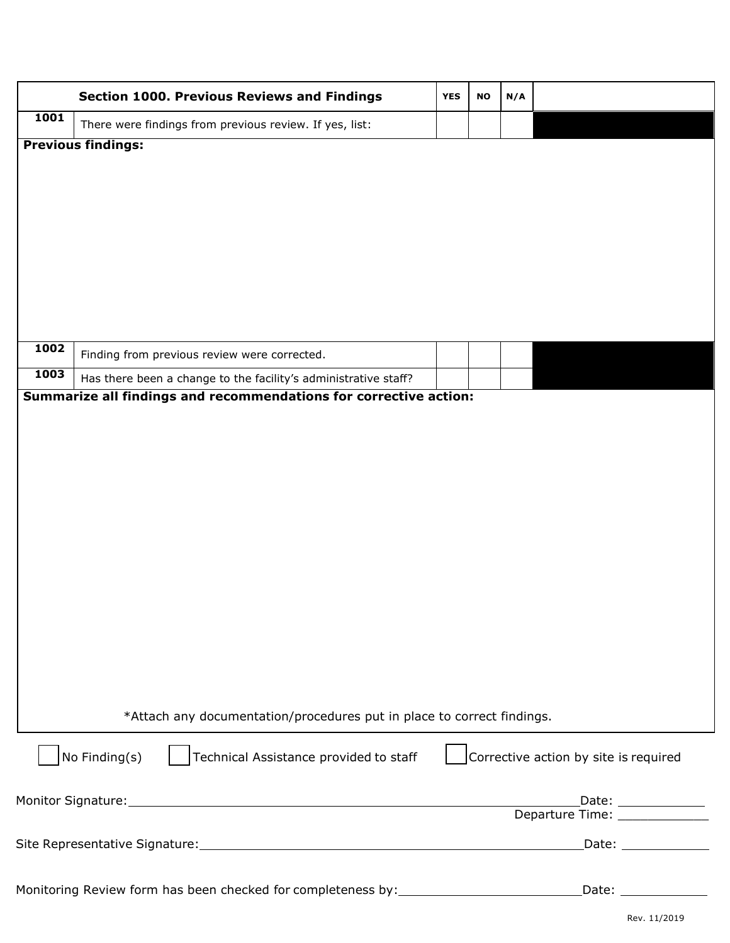|      | <b>Section 1000. Previous Reviews and Findings</b>                               | <b>YES</b> | <b>NO</b> | N/A |                                                        |
|------|----------------------------------------------------------------------------------|------------|-----------|-----|--------------------------------------------------------|
| 1001 | There were findings from previous review. If yes, list:                          |            |           |     |                                                        |
|      | <b>Previous findings:</b>                                                        |            |           |     |                                                        |
|      |                                                                                  |            |           |     |                                                        |
|      |                                                                                  |            |           |     |                                                        |
|      |                                                                                  |            |           |     |                                                        |
|      |                                                                                  |            |           |     |                                                        |
|      |                                                                                  |            |           |     |                                                        |
|      |                                                                                  |            |           |     |                                                        |
|      |                                                                                  |            |           |     |                                                        |
| 1002 | Finding from previous review were corrected.                                     |            |           |     |                                                        |
| 1003 | Has there been a change to the facility's administrative staff?                  |            |           |     |                                                        |
|      | Summarize all findings and recommendations for corrective action:                |            |           |     |                                                        |
|      |                                                                                  |            |           |     |                                                        |
|      |                                                                                  |            |           |     |                                                        |
|      |                                                                                  |            |           |     |                                                        |
|      |                                                                                  |            |           |     |                                                        |
|      |                                                                                  |            |           |     |                                                        |
|      |                                                                                  |            |           |     |                                                        |
|      |                                                                                  |            |           |     |                                                        |
|      |                                                                                  |            |           |     |                                                        |
|      |                                                                                  |            |           |     |                                                        |
|      |                                                                                  |            |           |     |                                                        |
|      |                                                                                  |            |           |     |                                                        |
|      | *Attach any documentation/procedures put in place to correct findings.           |            |           |     |                                                        |
|      | Technical Assistance provided to staff<br>No Finding(s)                          |            |           |     | Corrective action by site is required                  |
|      |                                                                                  |            |           |     | Date: $\frac{1}{\sqrt{1-\frac{1}{2}}\cdot\frac{1}{2}}$ |
|      |                                                                                  |            |           |     |                                                        |
|      |                                                                                  |            |           |     |                                                        |
|      |                                                                                  |            |           |     |                                                        |
|      | Monitoring Review form has been checked for completeness by: ___________________ |            |           |     |                                                        |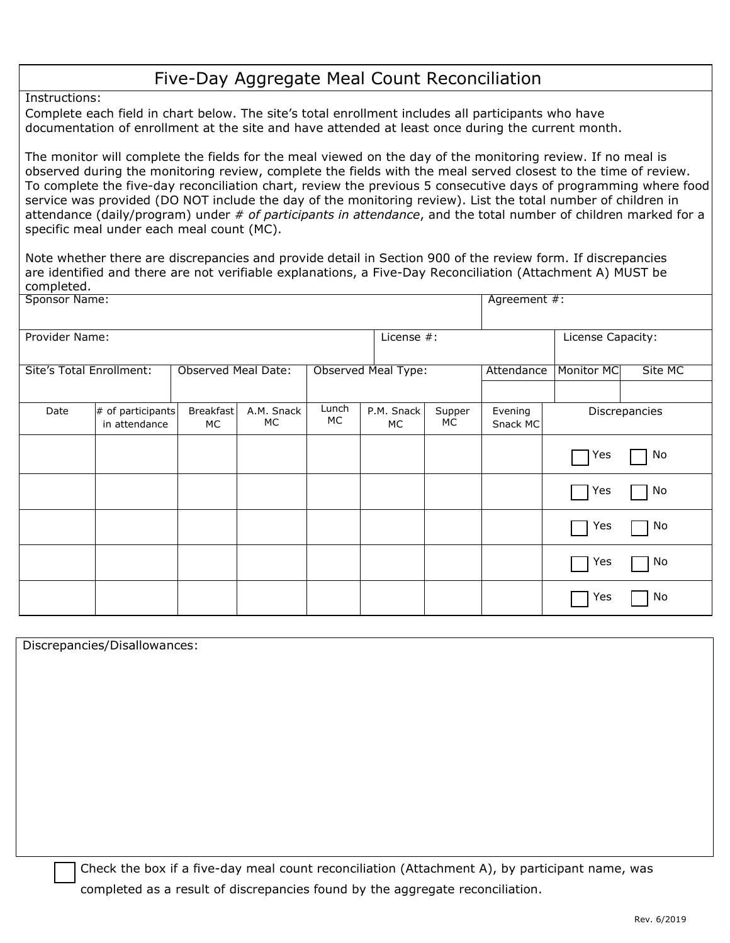## Five-Day Aggregate Meal Count Reconciliation

Instructions:

Complete each field in chart below. The site's total enrollment includes all participants who have documentation of enrollment at the site and have attended at least once during the current month.

The monitor will complete the fields for the meal viewed on the day of the monitoring review. If no meal is observed during the monitoring review, complete the fields with the meal served closest to the time of review. To complete the five-day reconciliation chart, review the previous 5 consecutive days of programming where food service was provided (DO NOT include the day of the monitoring review). List the total number of children in attendance (daily/program) under *# of participants in attendance*, and the total number of children marked for a specific meal under each meal count (MC).

Note whether there are discrepancies and provide detail in Section 900 of the review form. If discrepancies are identified and there are not verifiable explanations, a Five-Day Reconciliation (Attachment A) MUST be completed.

| Sponsor Name:            |                                    | Agreement #:               |                  |                     |                  |              |            |                   |         |  |
|--------------------------|------------------------------------|----------------------------|------------------|---------------------|------------------|--------------|------------|-------------------|---------|--|
| Provider Name:           |                                    | License Capacity:          |                  |                     |                  |              |            |                   |         |  |
| Site's Total Enrollment: |                                    | <b>Observed Meal Date:</b> |                  | Observed Meal Type: |                  |              | Attendance | <b>Monitor MC</b> | Site MC |  |
| Date                     | # of participants<br>in attendance | Breakfast<br>МC            | A.M. Snack<br>МC | Lunch<br>MC.        | P.M. Snack<br>МC | Supper<br>МC |            | Discrepancies     |         |  |
|                          |                                    |                            |                  |                     |                  |              |            | Yes               | No      |  |
|                          |                                    |                            |                  |                     |                  |              |            | Yes               | No      |  |
|                          |                                    |                            |                  |                     |                  |              |            | Yes               | No      |  |
|                          |                                    |                            |                  |                     |                  |              |            | Yes               | No      |  |
|                          |                                    |                            |                  |                     |                  |              |            | Yes               | No      |  |

Discrepancies/Disallowances:

Check the box if a five-day meal count reconciliation (Attachment A), by participant name, was completed as a result of discrepancies found by the aggregate reconciliation.